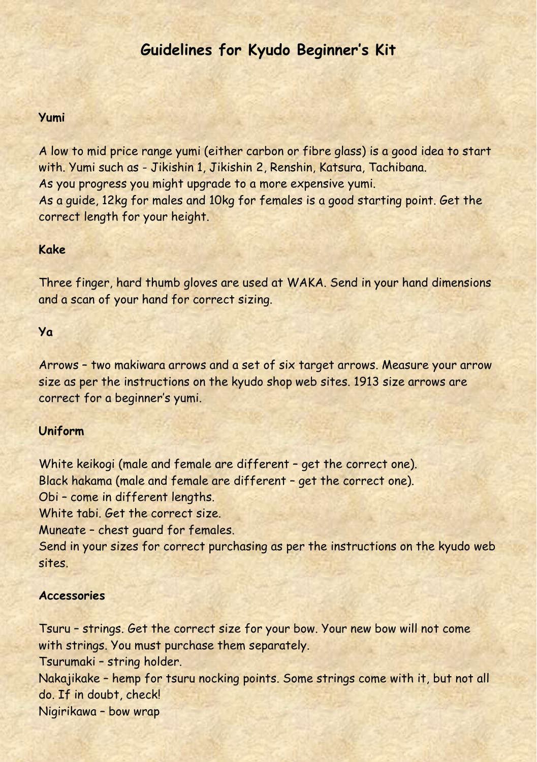# **Guidelines for Kyudo Beginner's Kit**

## **Yumi**

A low to mid price range yumi (either carbon or fibre glass) is a good idea to start with. Yumi such as - Jikishin 1, Jikishin 2, Renshin, Katsura, Tachibana. As you progress you might upgrade to a more expensive yumi. As a guide, 12kg for males and 10kg for females is a good starting point. Get the correct length for your height.

#### **Kake**

Three finger, hard thumb gloves are used at WAKA. Send in your hand dimensions and a scan of your hand for correct sizing.

## **Ya**

Arrows – two makiwara arrows and a set of six target arrows. Measure your arrow size as per the instructions on the kyudo shop web sites. 1913 size arrows are correct for a beginner's yumi.

## **Uniform**

White keikogi (male and female are different – get the correct one). Black hakama (male and female are different – get the correct one). Obi – come in different lengths. White tabi. Get the correct size. Muneate – chest guard for females. Send in your sizes for correct purchasing as per the instructions on the kyudo web sites.

#### **Accessories**

Tsuru – strings. Get the correct size for your bow. Your new bow will not come with strings. You must purchase them separately. Tsurumaki – string holder. Nakajikake – hemp for tsuru nocking points. Some strings come with it, but not all do. If in doubt, check! Nigirikawa – bow wrap